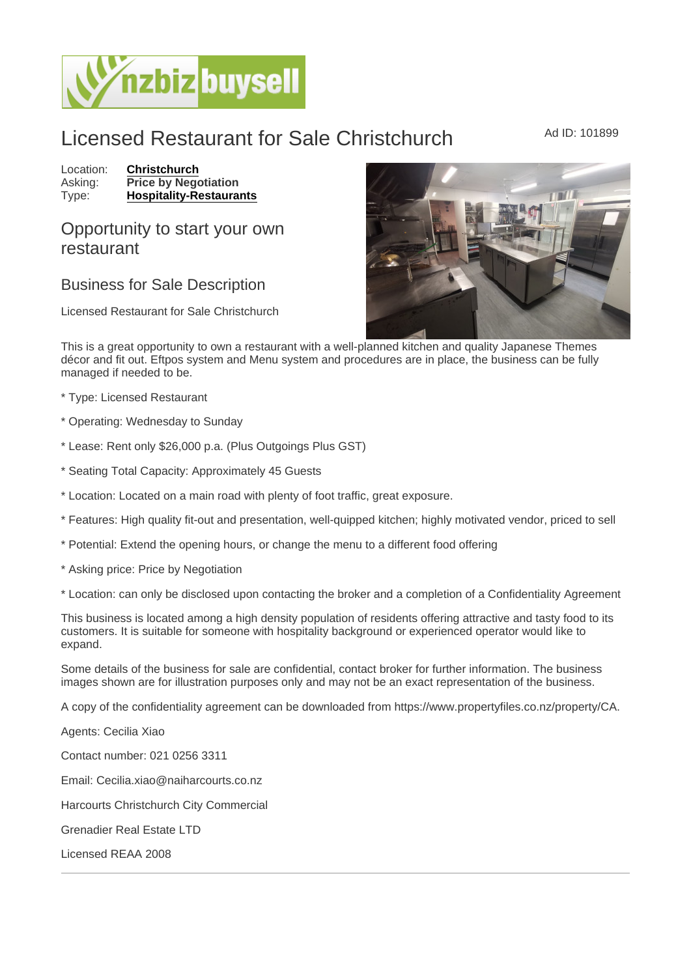## Licensed Restaurant for Sale Christchurch Ad ID: 101899

Location: [Christchurch](https://www.nzbizbuysell.co.nz/businesses-for-sale/location/Christchurch) Asking: Price by Negotiation<br>Type: Hospitality-Restaura [Hospitality-Restaurants](https://www.nzbizbuysell.co.nz/businesses-for-sale/Restaurants/New-Zealand)

## Opportunity to start your own restaurant

## Business for Sale Description

Licensed Restaurant for Sale Christchurch

This is a great opportunity to own a restaurant with a well-planned kitchen and quality Japanese Themes décor and fit out. Eftpos system and Menu system and procedures are in place, the business can be fully managed if needed to be.

\* Type: Licensed Restaurant

\* Operating: Wednesday to Sunday

\* Lease: Rent only \$26,000 p.a. (Plus Outgoings Plus GST)

\* Seating Total Capacity: Approximately 45 Guests

\* Location: Located on a main road with plenty of foot traffic, great exposure.

\* Features: High quality fit-out and presentation, well-quipped kitchen; highly motivated vendor, priced to sell

\* Potential: Extend the opening hours, or change the menu to a different food offering

\* Asking price: Price by Negotiation

\* Location: can only be disclosed upon contacting the broker and a completion of a Confidentiality Agreement

This business is located among a high density population of residents offering attractive and tasty food to its customers. It is suitable for someone with hospitality background or experienced operator would like to expand.

Some details of the business for sale are confidential, contact broker for further information. The business images shown are for illustration purposes only and may not be an exact representation of the business.

A copy of the confidentiality agreement can be downloaded from https://www.propertyfiles.co.nz/property/CA.

Agents: Cecilia Xiao

Contact number: 021 0256 3311

Email: Cecilia.xiao@naiharcourts.co.nz

Harcourts Christchurch City Commercial

Grenadier Real Estate LTD

Licensed REAA 2008